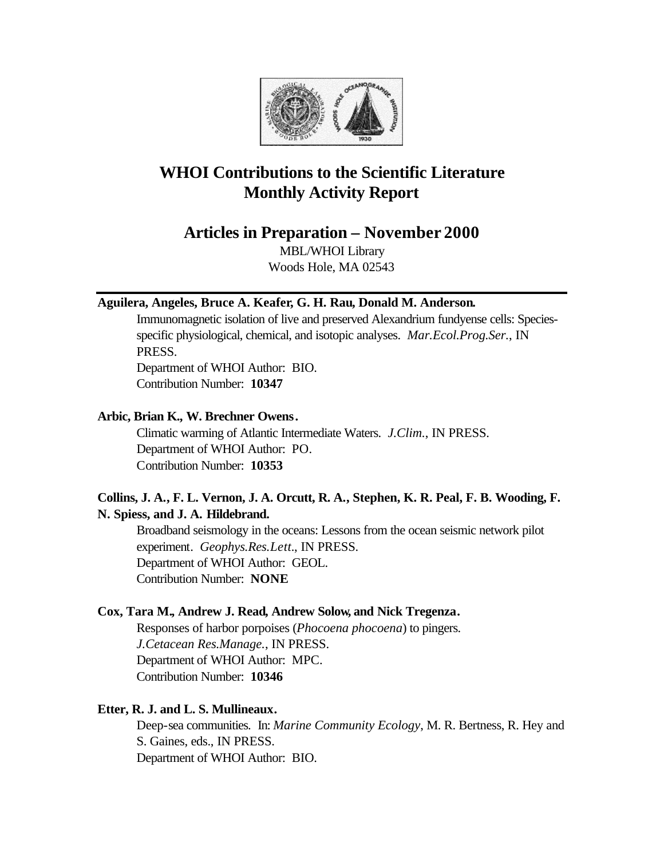

# **WHOI Contributions to the Scientific Literature Monthly Activity Report**

**Articles in Preparation – November 2000**

MBL/WHOI Library Woods Hole, MA 02543

## **Aguilera, Angeles, Bruce A. Keafer, G. H. Rau, Donald M. Anderson.**

Immunomagnetic isolation of live and preserved Alexandrium fundyense cells: Speciesspecific physiological, chemical, and isotopic analyses. *Mar.Ecol.Prog.Ser.*, IN PRESS. Department of WHOI Author: BIO.

Contribution Number: **10347**

### **Arbic, Brian K., W. Brechner Owens.**

Climatic warming of Atlantic Intermediate Waters. *J.Clim.*, IN PRESS. Department of WHOI Author: PO. Contribution Number: **10353**

## **Collins, J. A., F. L. Vernon, J. A. Orcutt, R. A., Stephen, K. R. Peal, F. B. Wooding, F. N. Spiess, and J. A. Hildebrand.**

Broadband seismology in the oceans: Lessons from the ocean seismic network pilot experiment. *Geophys.Res.Lett.*, IN PRESS. Department of WHOI Author: GEOL. Contribution Number: **NONE**

## **Cox, Tara M., Andrew J. Read, Andrew Solow, and Nick Tregenza.**

Responses of harbor porpoises (*Phocoena phocoena*) to pingers. *J.Cetacean Res.Manage.*, IN PRESS. Department of WHOI Author: MPC. Contribution Number: **10346**

## **Etter, R. J. and L. S. Mullineaux.**

Deep-sea communities. In: *Marine Community Ecology*, M. R. Bertness, R. Hey and S. Gaines, eds., IN PRESS. Department of WHOI Author: BIO.